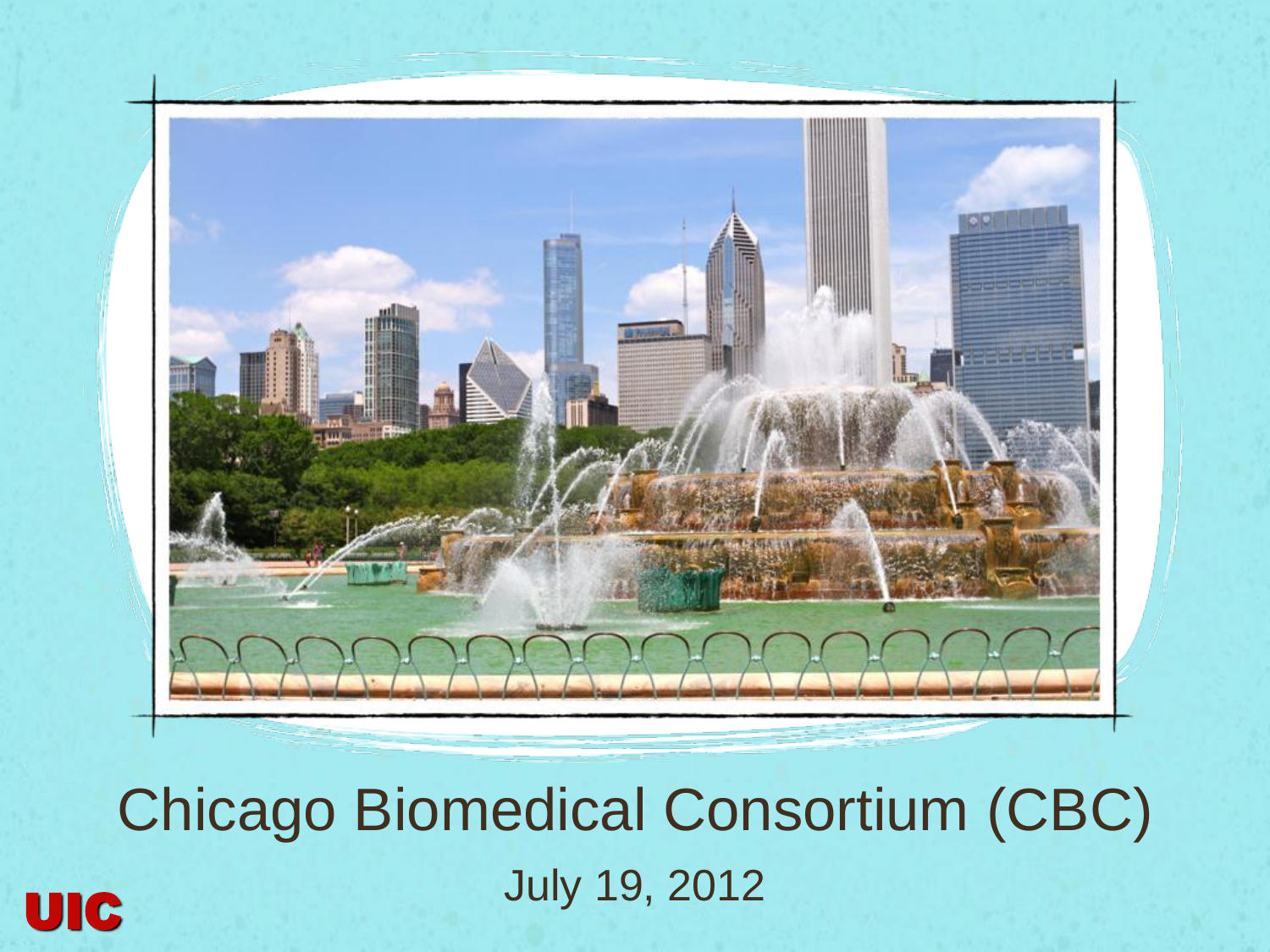

Chicago Biomedical Consortium (CBC) **July 19, 2012**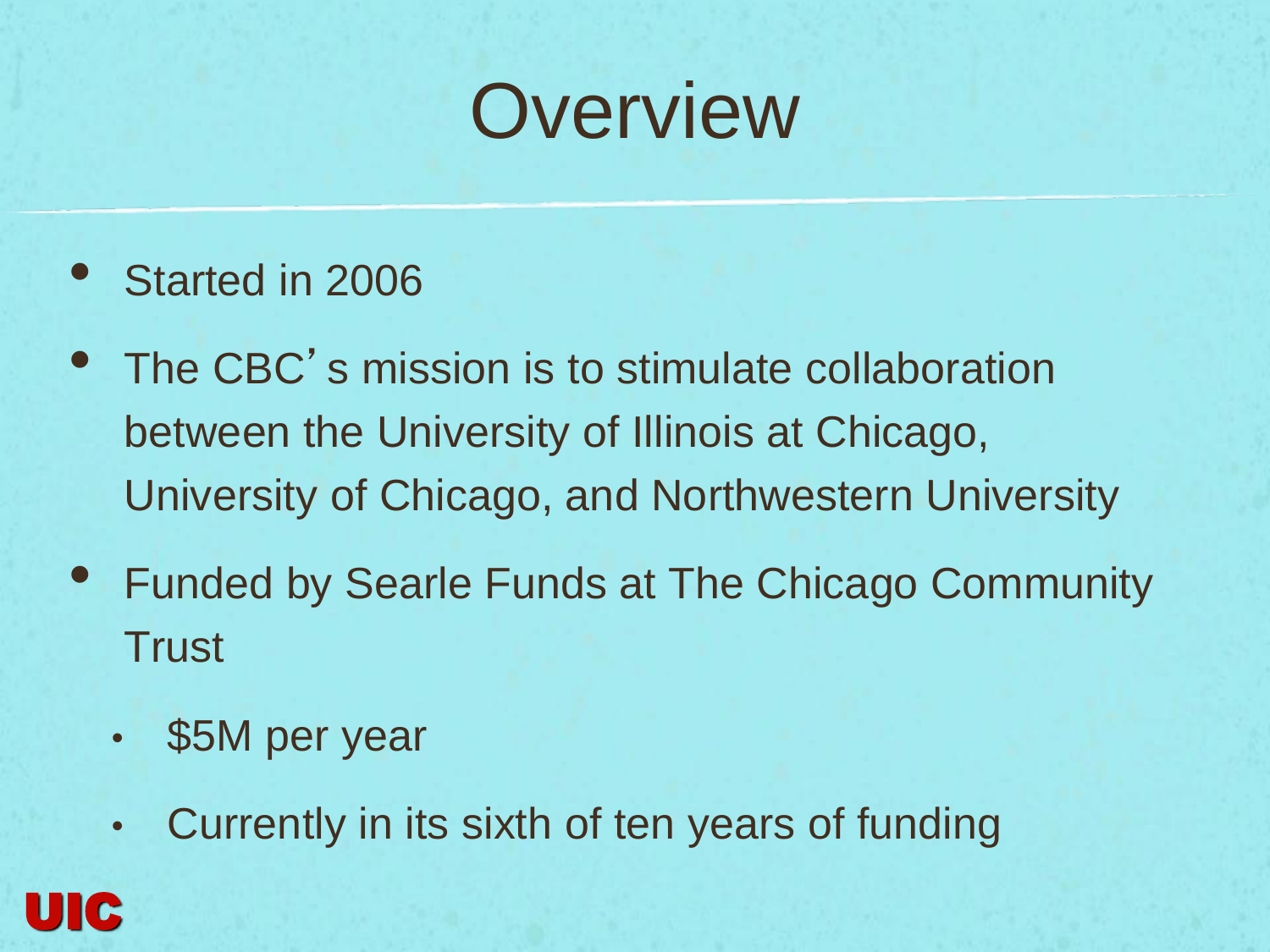### **Overview**

- Started in 2006
- The CBC's mission is to stimulate collaboration between the University of Illinois at Chicago, University of Chicago, and Northwestern University
- Funded by Searle Funds at The Chicago Community **Trust** 
	- \$5M per year
	- Currently in its sixth of ten years of funding

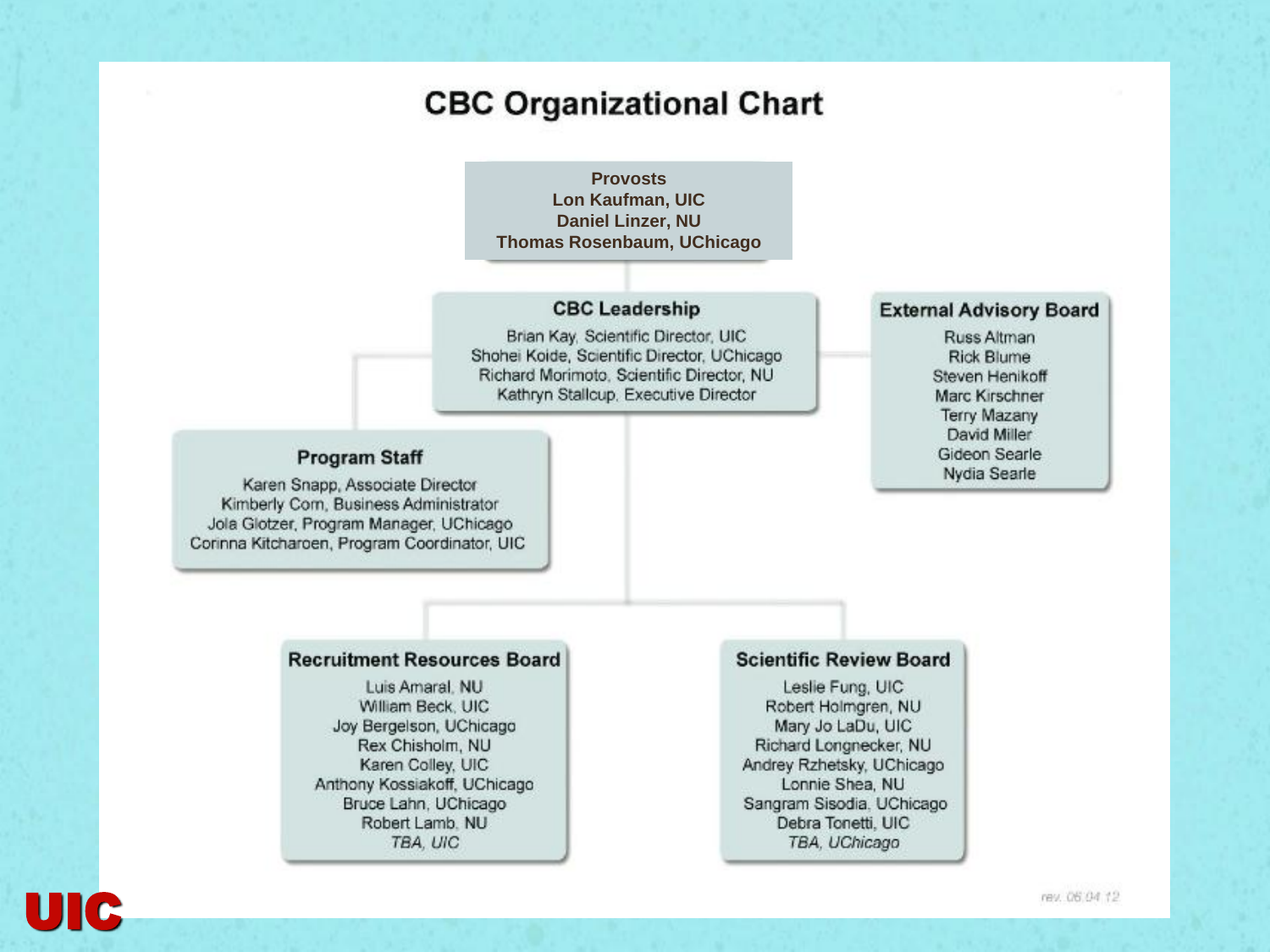#### **CBC Organizational Chart**

#### **Provosts Lon Kaufman, UIC Daniel Linzer, NU Thomas Rosenbaum, UChicago**

#### **CBC Leadership**

Brian Kay, Scientific Director, UIC Shohei Koide, Scientific Director, UChicago Richard Morimoto, Scientific Director, NU Kathryn Stallcup, Executive Director

#### **Program Staff**

Karen Snapp, Associate Director Kimberly Com, Business Administrator Jola Glotzer, Program Manager, UChicago Corinna Kitcharoen, Program Coordinator, UIC

#### **External Advisory Board**

Russ Altman **Rick Blume** Steven Henikoff Marc Kirschner **Terry Mazany** David Miller Gideon Searle Nydia Searle

#### **Recruitment Resources Board**

Luis Amaral, NU William Beck, UIC Joy Bergelson, UChicago Rex Chisholm, NU Karen Colley, UIC Anthony Kossiakoff, UChicago Bruce Lahn, UChicago Robert Lamb. NU TBA, UIC

#### **Scientific Review Board**

Leslie Fung, UIC Robert Holmgren, NU Mary Jo LaDu, UIC Richard Longnecker, NU Andrey Rzhetsky, UChicago Lonnie Shea, NU Sangram Sisodia, UChicago Debra Tonetti, UIC TBA, UChicago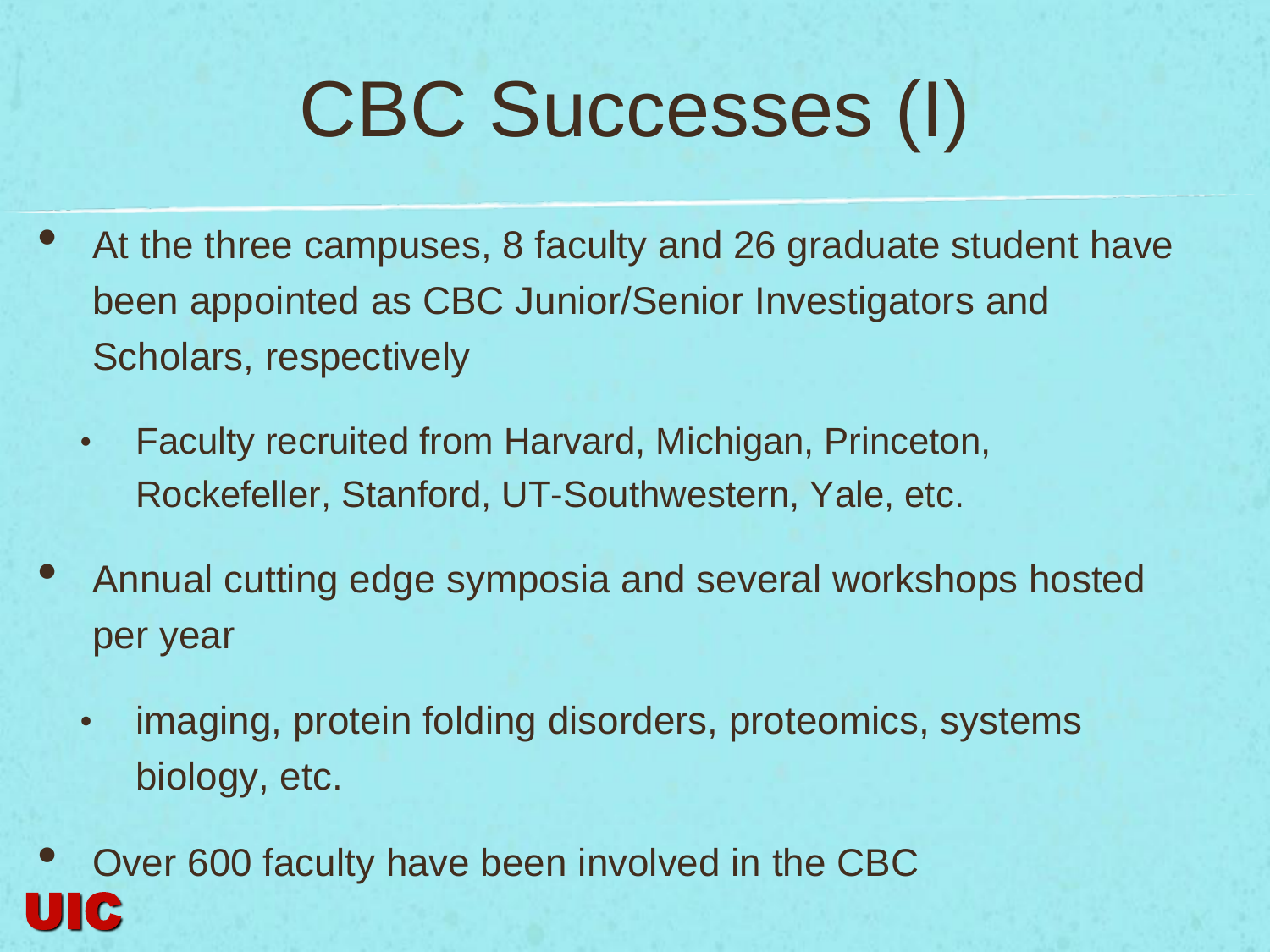### CBC Successes (I)

- At the three campuses, 8 faculty and 26 graduate student have been appointed as CBC Junior/Senior Investigators and Scholars, respectively
	- Faculty recruited from Harvard, Michigan, Princeton, Rockefeller, Stanford, UT-Southwestern, Yale, etc.
- Annual cutting edge symposia and several workshops hosted per year
	- imaging, protein folding disorders, proteomics, systems biology, etc.
- Over 600 faculty have been involved in the CBC UIC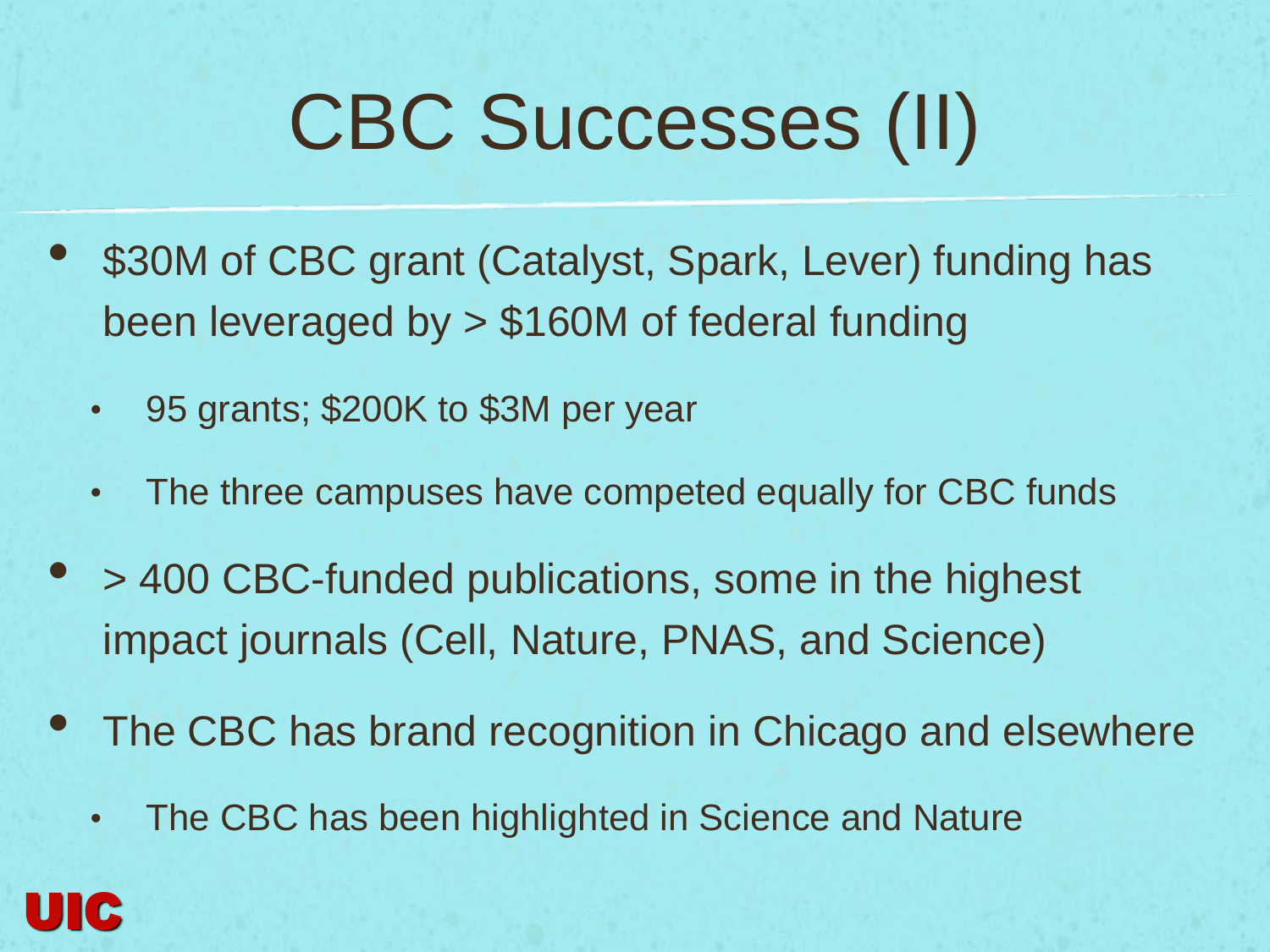### CBC Successes (II)

- \$30M of CBC grant (Catalyst, Spark, Lever) funding has been leveraged by > \$160M of federal funding
	- 95 grants; \$200K to \$3M per year
	- The three campuses have competed equally for CBC funds
- > 400 CBC-funded publications, some in the highest impact journals (Cell, Nature, PNAS, and Science)
- The CBC has brand recognition in Chicago and elsewhere
	- The CBC has been highlighted in Science and Nature

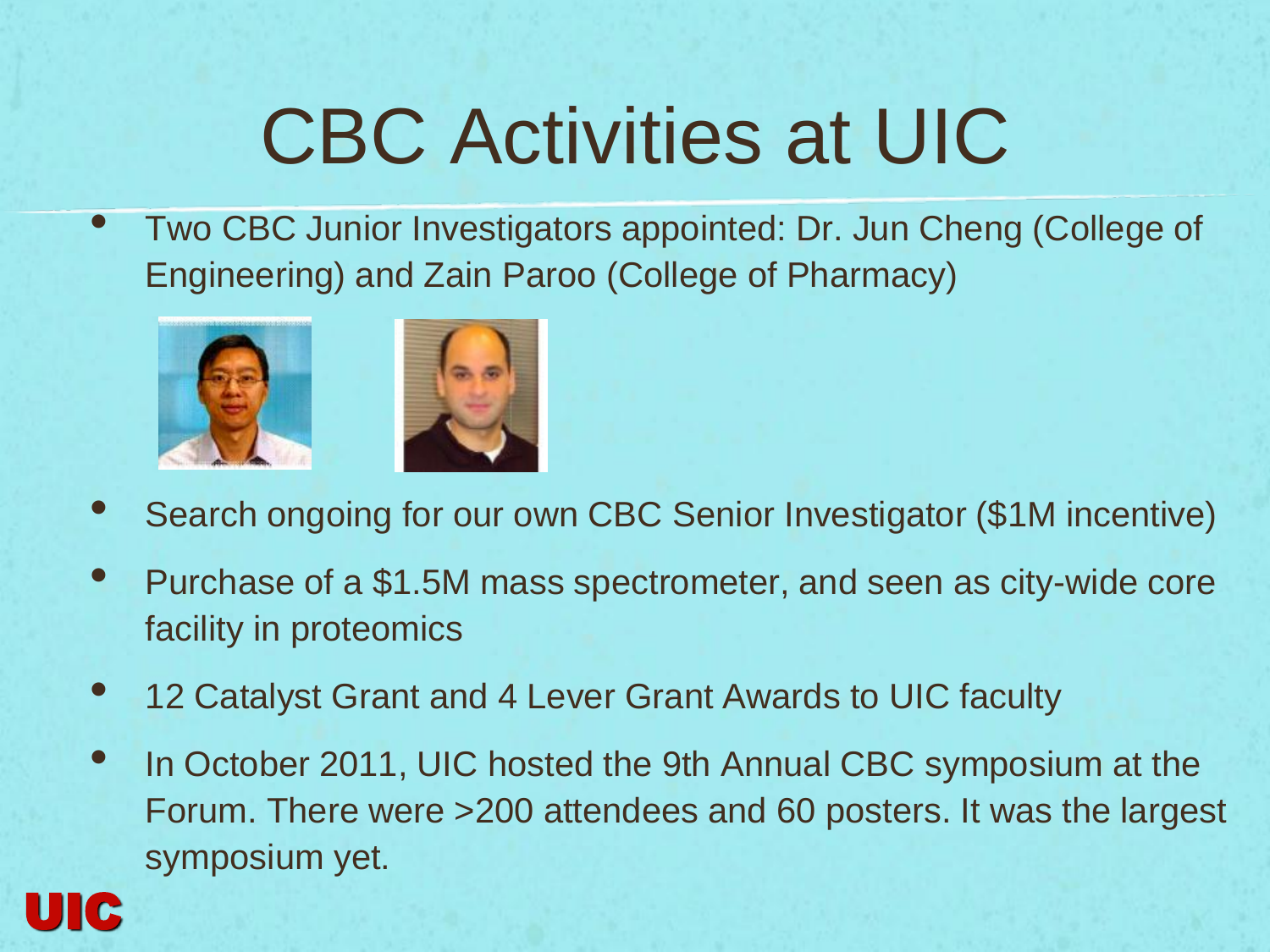### CBC Activities at UIC

• Two CBC Junior Investigators appointed: Dr. Jun Cheng (College of Engineering) and Zain Paroo (College of Pharmacy)



UIC



- Search ongoing for our own CBC Senior Investigator (\$1M incentive)
- Purchase of a \$1.5M mass spectrometer, and seen as city-wide core facility in proteomics
- 12 Catalyst Grant and 4 Lever Grant Awards to UIC faculty
- In October 2011, UIC hosted the 9th Annual CBC symposium at the Forum. There were >200 attendees and 60 posters. It was the largest symposium yet.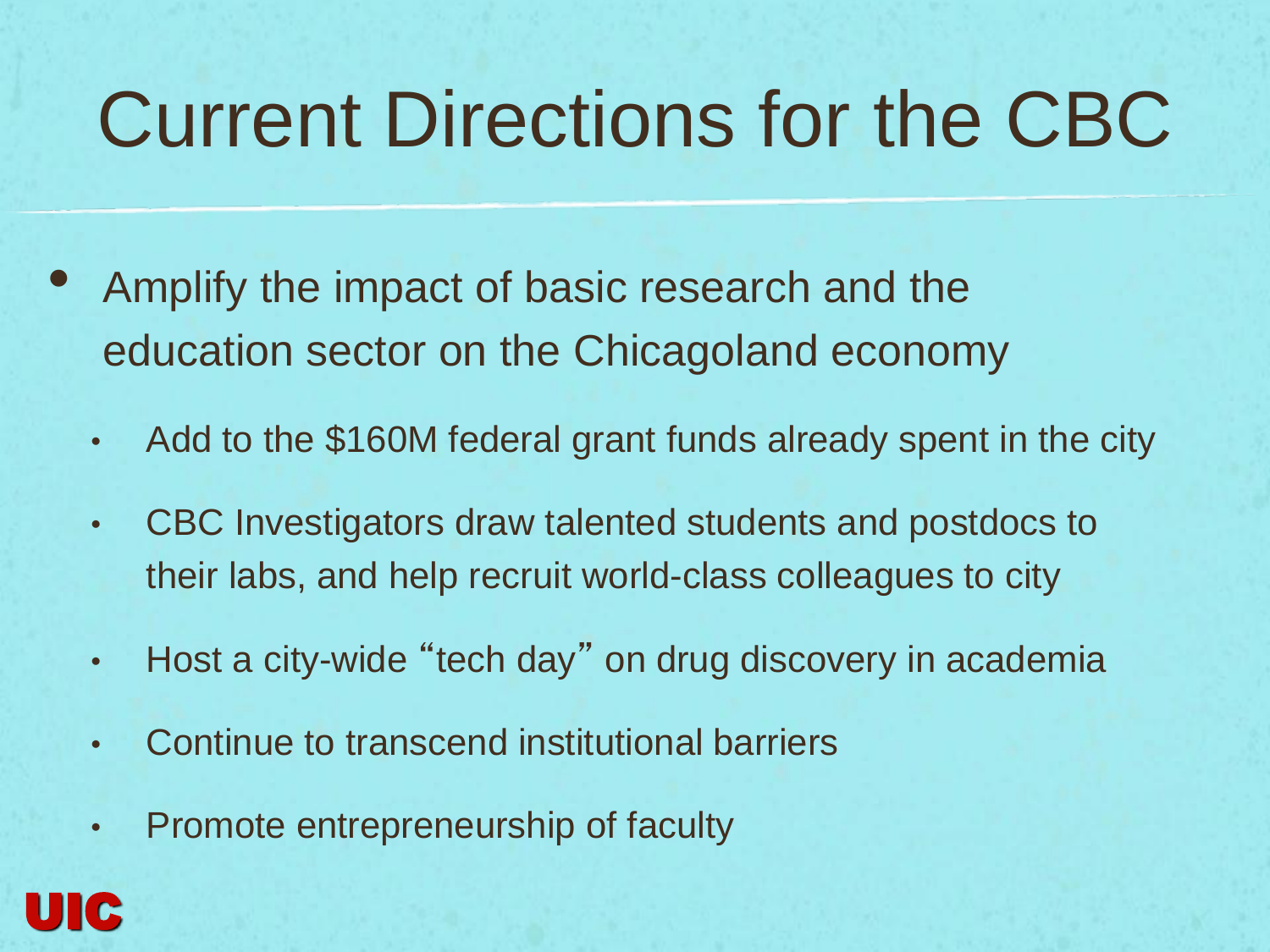### Current Directions for the CBC

- Amplify the impact of basic research and the education sector on the Chicagoland economy
	- Add to the \$160M federal grant funds already spent in the city
	- CBC Investigators draw talented students and postdocs to their labs, and help recruit world-class colleagues to city
	- Host a city-wide "tech day" on drug discovery in academia
	- Continue to transcend institutional barriers
	- Promote entrepreneurship of faculty

UIC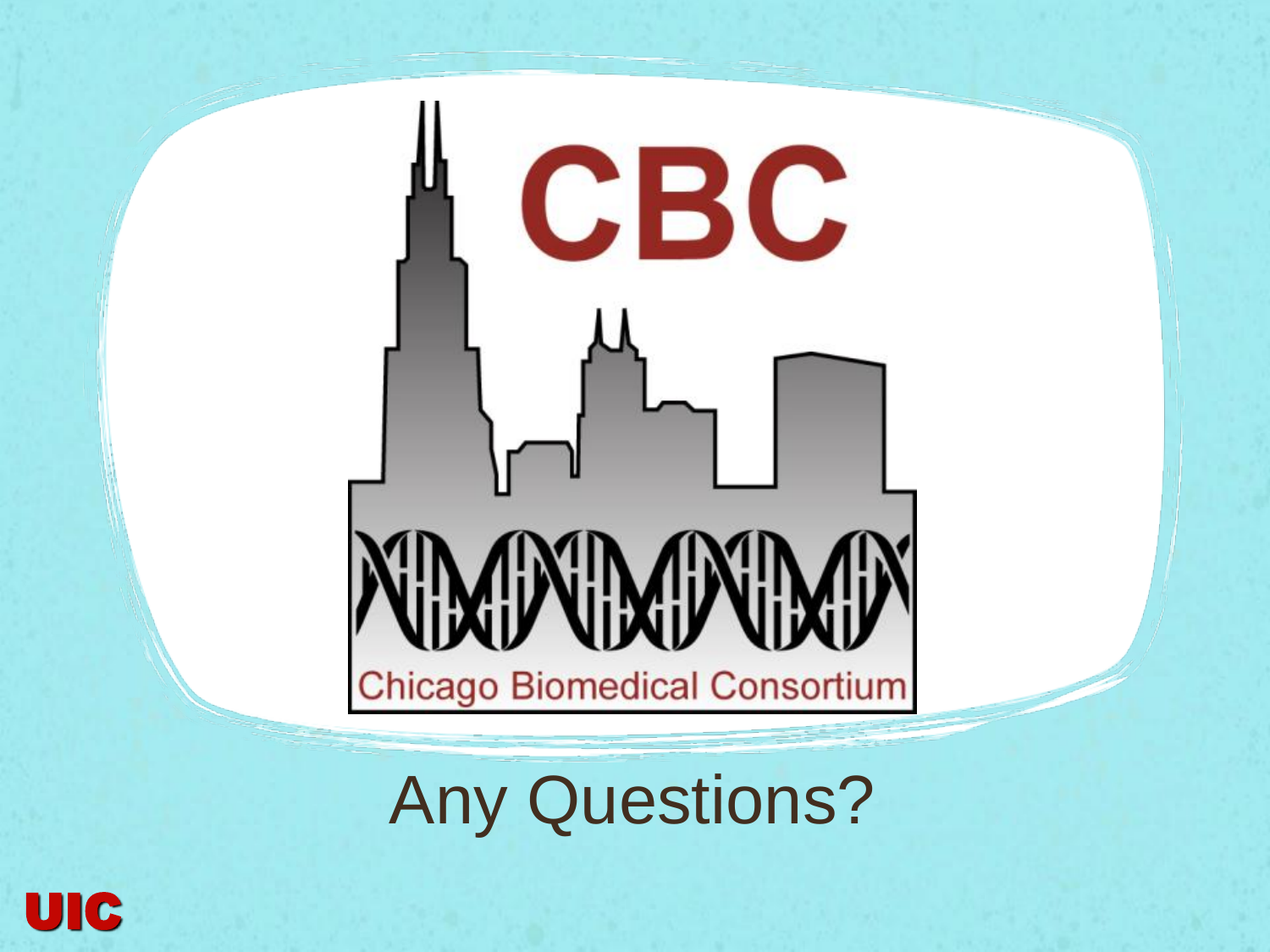# CBC ONIXOND **Chicago Biomedical Consortium**

Any Questions?

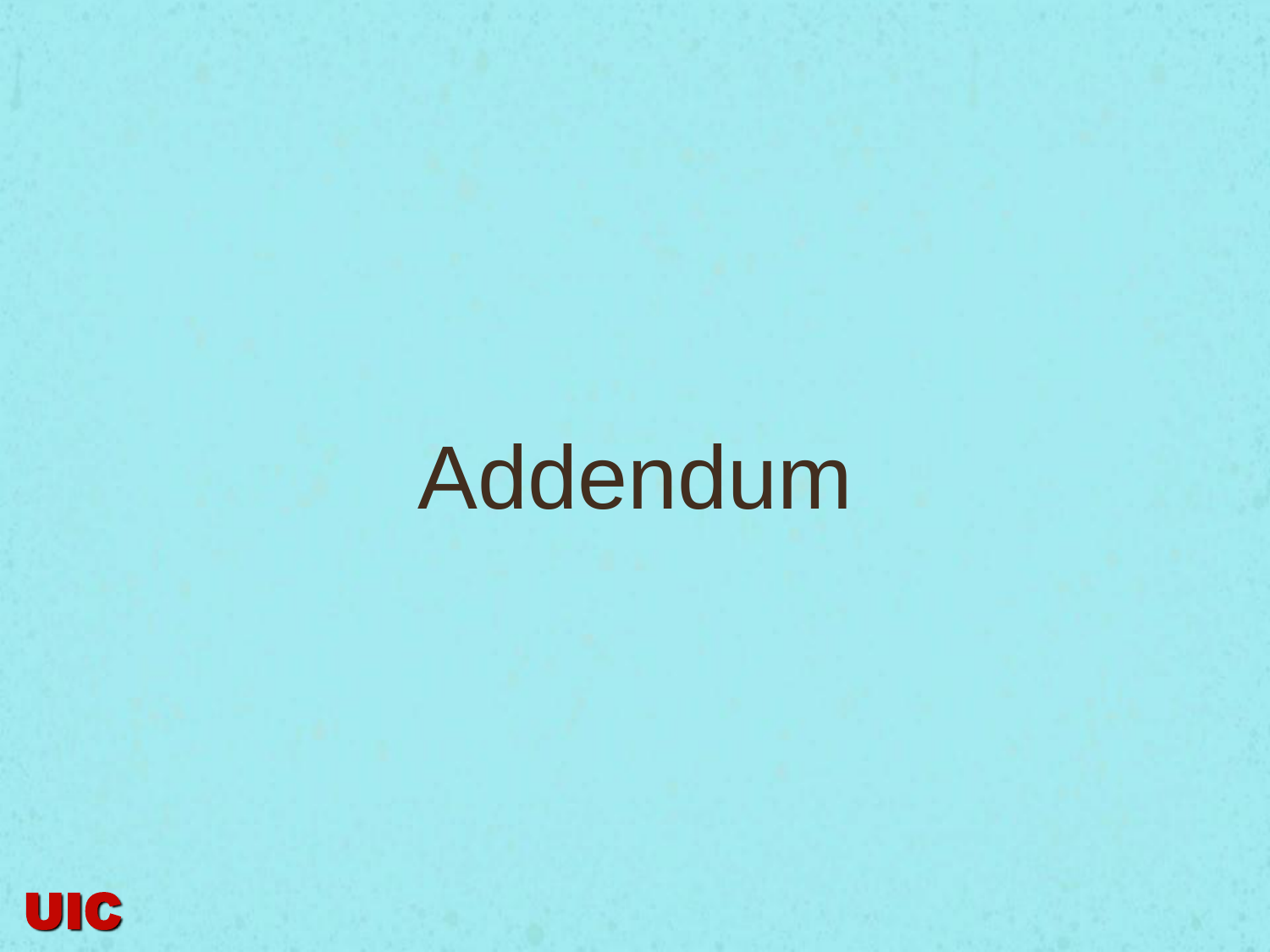## Addendum